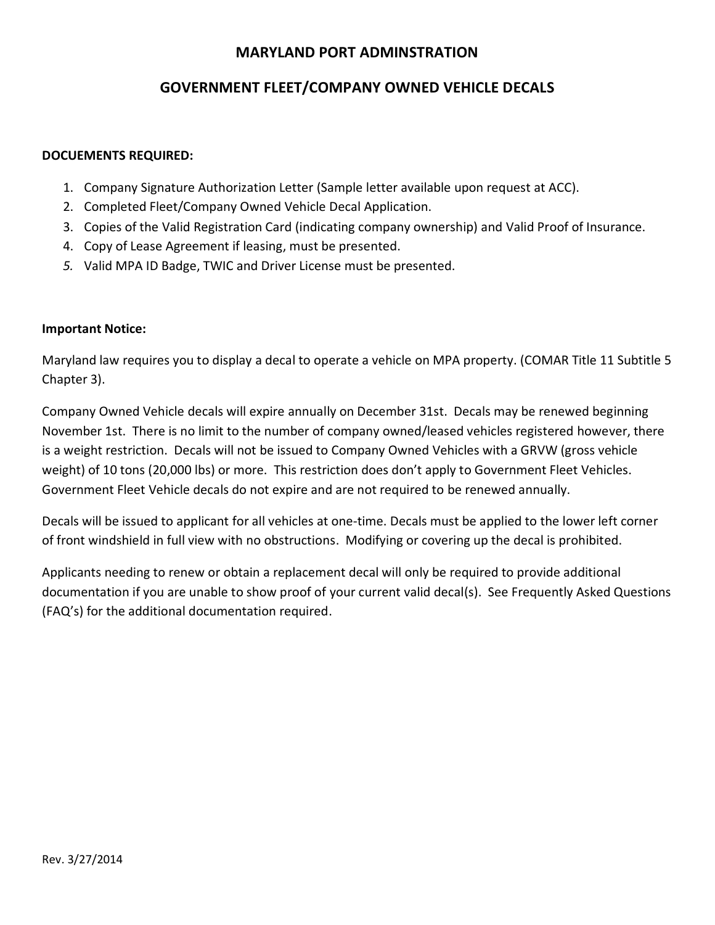## **MARYLAND PORT ADMINSTRATION**

# **GOVERNMENT FLEET/COMPANY OWNED VEHICLE DECALS**

## **DOCUEMENTS REQUIRED:**

- 1. Company Signature Authorization Letter (Sample letter available upon request at ACC).
- 2. Completed Fleet/Company Owned Vehicle Decal Application.
- 3. Copies of the Valid Registration Card (indicating company ownership) and Valid Proof of Insurance.
- 4. Copy of Lease Agreement if leasing, must be presented.
- *5.* Valid MPA ID Badge, TWIC and Driver License must be presented.

## **Important Notice:**

Maryland law requires you to display a decal to operate a vehicle on MPA property. (COMAR Title 11 Subtitle 5 Chapter 3).

Company Owned Vehicle decals will expire annually on December 31st. Decals may be renewed beginning November 1st. There is no limit to the number of company owned/leased vehicles registered however, there is a weight restriction. Decals will not be issued to Company Owned Vehicles with a GRVW (gross vehicle weight) of 10 tons (20,000 lbs) or more. This restriction does don't apply to Government Fleet Vehicles. Government Fleet Vehicle decals do not expire and are not required to be renewed annually.

Decals will be issued to applicant for all vehicles at one-time. Decals must be applied to the lower left corner of front windshield in full view with no obstructions. Modifying or covering up the decal is prohibited.

Applicants needing to renew or obtain a replacement decal will only be required to provide additional documentation if you are unable to show proof of your current valid decal(s). See Frequently Asked Questions (FAQ's) for the additional documentation required.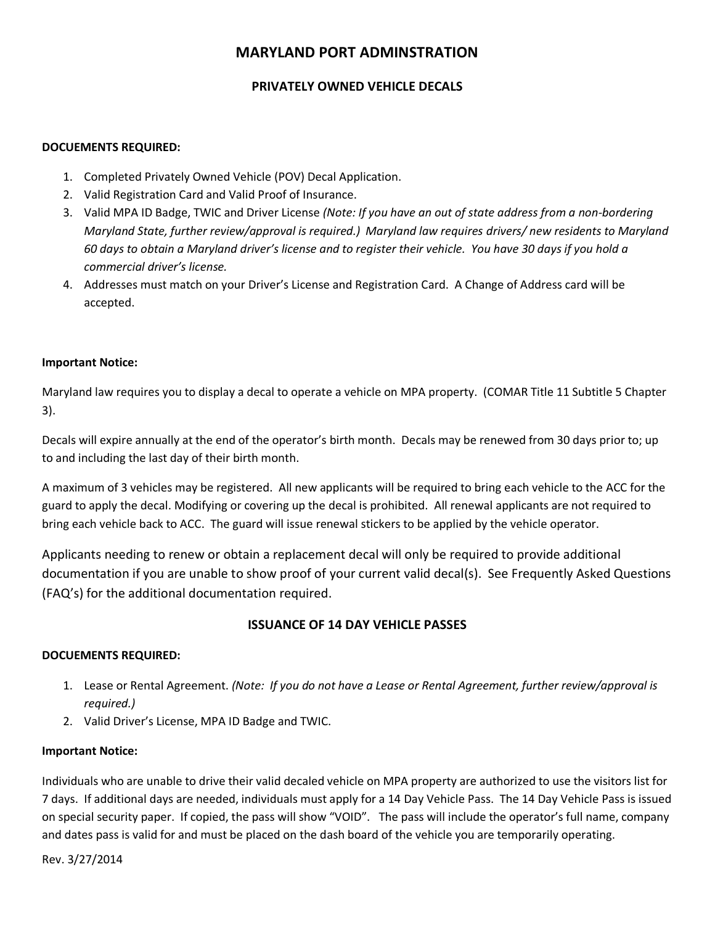# **MARYLAND PORT ADMINSTRATION**

## **PRIVATELY OWNED VEHICLE DECALS**

#### **DOCUEMENTS REQUIRED:**

- 1. Completed Privately Owned Vehicle (POV) Decal Application.
- 2. Valid Registration Card and Valid Proof of Insurance.
- 3. Valid MPA ID Badge, TWIC and Driver License *(Note: If you have an out of state address from a non-bordering Maryland State, further review/approval is required.) Maryland law requires drivers/ new residents to Maryland 60 days to obtain a Maryland driver's license and to register their vehicle. You have 30 days if you hold a commercial driver's license.*
- 4. Addresses must match on your Driver's License and Registration Card. A Change of Address card will be accepted.

#### **Important Notice:**

Maryland law requires you to display a decal to operate a vehicle on MPA property. (COMAR Title 11 Subtitle 5 Chapter 3).

Decals will expire annually at the end of the operator's birth month. Decals may be renewed from 30 days prior to; up to and including the last day of their birth month.

A maximum of 3 vehicles may be registered. All new applicants will be required to bring each vehicle to the ACC for the guard to apply the decal. Modifying or covering up the decal is prohibited. All renewal applicants are not required to bring each vehicle back to ACC. The guard will issue renewal stickers to be applied by the vehicle operator.

Applicants needing to renew or obtain a replacement decal will only be required to provide additional documentation if you are unable to show proof of your current valid decal(s). See Frequently Asked Questions (FAQ's) for the additional documentation required.

### **ISSUANCE OF 14 DAY VEHICLE PASSES**

### **DOCUEMENTS REQUIRED:**

- 1. Lease or Rental Agreement. *(Note: If you do not have a Lease or Rental Agreement, further review/approval is required.)*
- 2. Valid Driver's License, MPA ID Badge and TWIC.

#### **Important Notice:**

Individuals who are unable to drive their valid decaled vehicle on MPA property are authorized to use the visitors list for 7 days. If additional days are needed, individuals must apply for a 14 Day Vehicle Pass. The 14 Day Vehicle Pass is issued on special security paper. If copied, the pass will show "VOID". The pass will include the operator's full name, company and dates pass is valid for and must be placed on the dash board of the vehicle you are temporarily operating.

Rev. 3/27/2014